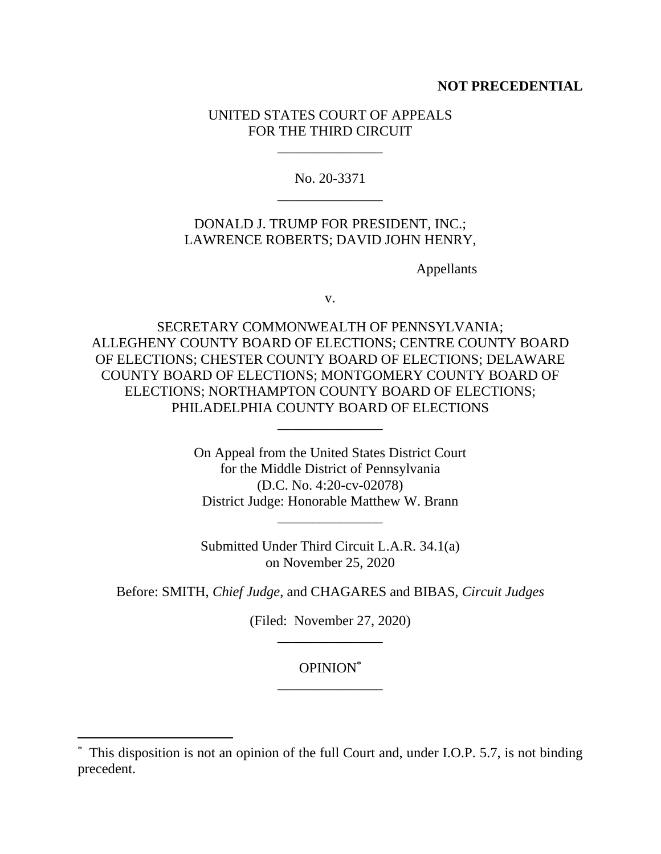## **NOT PRECEDENTIAL**

## UNITED STATES COURT OF APPEALS FOR THE THIRD CIRCUIT

\_\_\_\_\_\_\_\_\_\_\_\_\_\_\_

No. 20-3371 \_\_\_\_\_\_\_\_\_\_\_\_\_\_\_

# DONALD J. TRUMP FOR PRESIDENT, INC.; LAWRENCE ROBERTS; DAVID JOHN HENRY,

Appellants

v.

SECRETARY COMMONWEALTH OF PENNSYLVANIA; ALLEGHENY COUNTY BOARD OF ELECTIONS; CENTRE COUNTY BOARD OF ELECTIONS; CHESTER COUNTY BOARD OF ELECTIONS; DELAWARE COUNTY BOARD OF ELECTIONS; MONTGOMERY COUNTY BOARD OF ELECTIONS; NORTHAMPTON COUNTY BOARD OF ELECTIONS; PHILADELPHIA COUNTY BOARD OF ELECTIONS

\_\_\_\_\_\_\_\_\_\_\_\_\_\_\_

On Appeal from the United States District Court for the Middle District of Pennsylvania (D.C. No. 4:20-cv-02078) District Judge: Honorable Matthew W. Brann

Submitted Under Third Circuit L.A.R. 34.1(a) on November 25, 2020

\_\_\_\_\_\_\_\_\_\_\_\_\_\_\_

Before: SMITH, *Chief Judge*, and CHAGARES and BIBAS, *Circuit Judges* 

(Filed: November 27, 2020) \_\_\_\_\_\_\_\_\_\_\_\_\_\_\_

# OPINION\* \_\_\_\_\_\_\_\_\_\_\_\_\_\_\_

<sup>\*</sup> This disposition is not an opinion of the full Court and, under I.O.P. 5.7, is not binding precedent.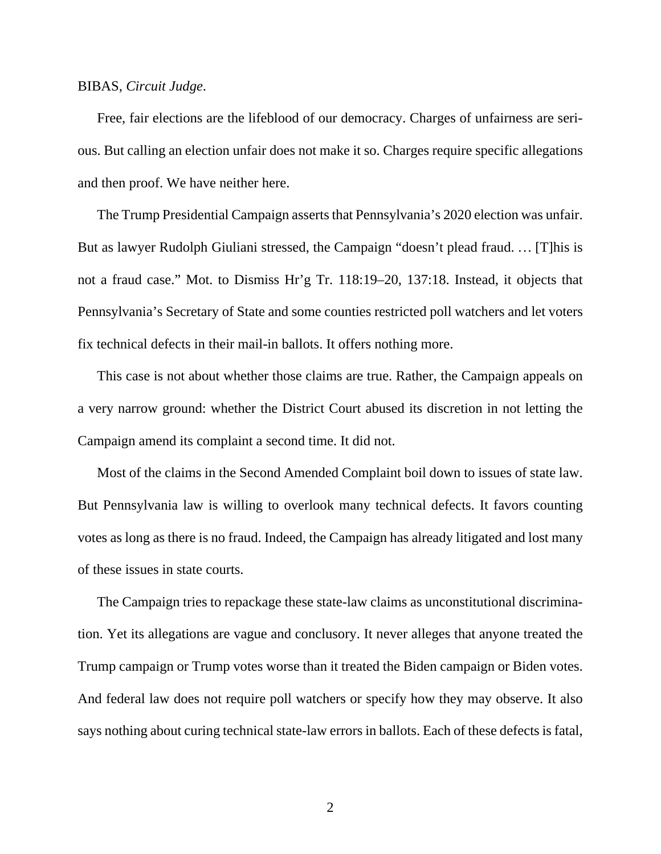#### BIBAS, *Circuit Judge*.

Free, fair elections are the lifeblood of our democracy. Charges of unfairness are serious. But calling an election unfair does not make it so. Charges require specific allegations and then proof. We have neither here.

The Trump Presidential Campaign asserts that Pennsylvania's 2020 election was unfair. But as lawyer Rudolph Giuliani stressed, the Campaign "doesn't plead fraud. ... [T]his is not a fraud case." Mot. to Dismiss Hr'g Tr. 118:19–20, 137:18. Instead, it objects that Pennsylvania's Secretary of State and some counties restricted poll watchers and let voters fix technical defects in their mail-in ballots. It offers nothing more.

This case is not about whether those claims are true. Rather, the Campaign appeals on a very narrow ground: whether the District Court abused its discretion in not letting the Campaign amend its complaint a second time. It did not.

Most of the claims in the Second Amended Complaint boil down to issues of state law. But Pennsylvania law is willing to overlook many technical defects. It favors counting votes as long as there is no fraud. Indeed, the Campaign has already litigated and lost many of these issues in state courts.

The Campaign tries to repackage these state-law claims as unconstitutional discrimination. Yet its allegations are vague and conclusory. It never alleges that anyone treated the Trump campaign or Trump votes worse than it treated the Biden campaign or Biden votes. And federal law does not require poll watchers or specify how they may observe. It also says nothing about curing technical state-law errors in ballots. Each of these defects is fatal,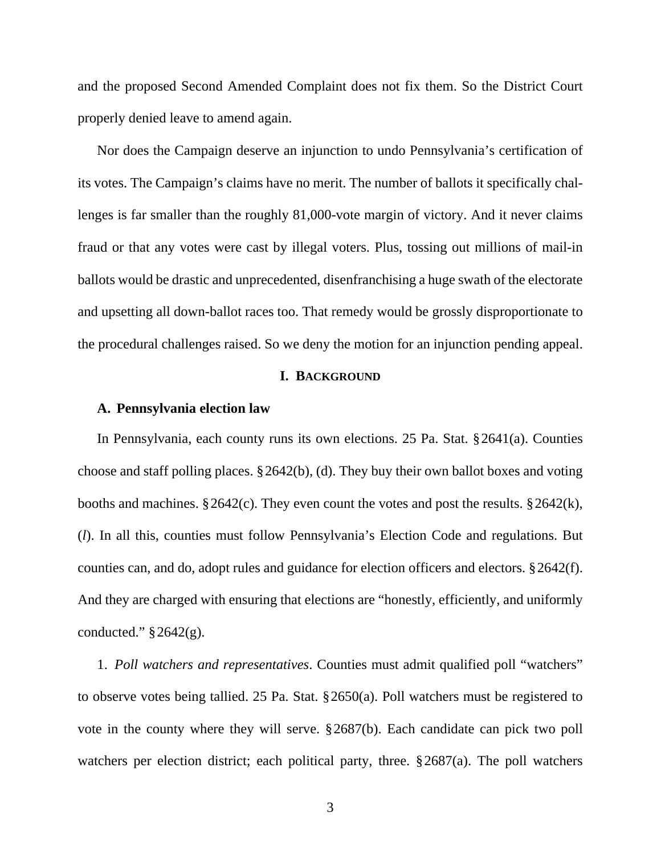and the proposed Second Amended Complaint does not fix them. So the District Court properly denied leave to amend again.

Nor does the Campaign deserve an injunction to undo Pennsylvania's certification of its votes. The Campaign's claims have no merit. The number of ballots it specifically challenges is far smaller than the roughly 81,000-vote margin of victory. And it never claims fraud or that any votes were cast by illegal voters. Plus, tossing out millions of mail-in ballots would be drastic and unprecedented, disenfranchising a huge swath of the electorate and upsetting all down-ballot races too. That remedy would be grossly disproportionate to the procedural challenges raised. So we deny the motion for an injunction pending appeal.

## **I. BACKGROUND**

### **A. Pennsylvania election law**

In Pennsylvania, each county runs its own elections. 25 Pa. Stat. § 2641(a). Counties choose and staff polling places. § 2642(b), (d). They buy their own ballot boxes and voting booths and machines. § 2642(c). They even count the votes and post the results. § 2642(k), (*l*). In all this, counties must follow Pennsylvania's Election Code and regulations. But counties can, and do, adopt rules and guidance for election officers and electors. § 2642(f). And they are charged with ensuring that elections are "honestly, efficiently, and uniformly conducted."  $§ 2642(g)$ .

1. *Poll watchers and representatives*. Counties must admit qualified poll "watchers" to observe votes being tallied. 25 Pa. Stat. § 2650(a). Poll watchers must be registered to vote in the county where they will serve. § 2687(b). Each candidate can pick two poll watchers per election district; each political party, three.  $\S 2687(a)$ . The poll watchers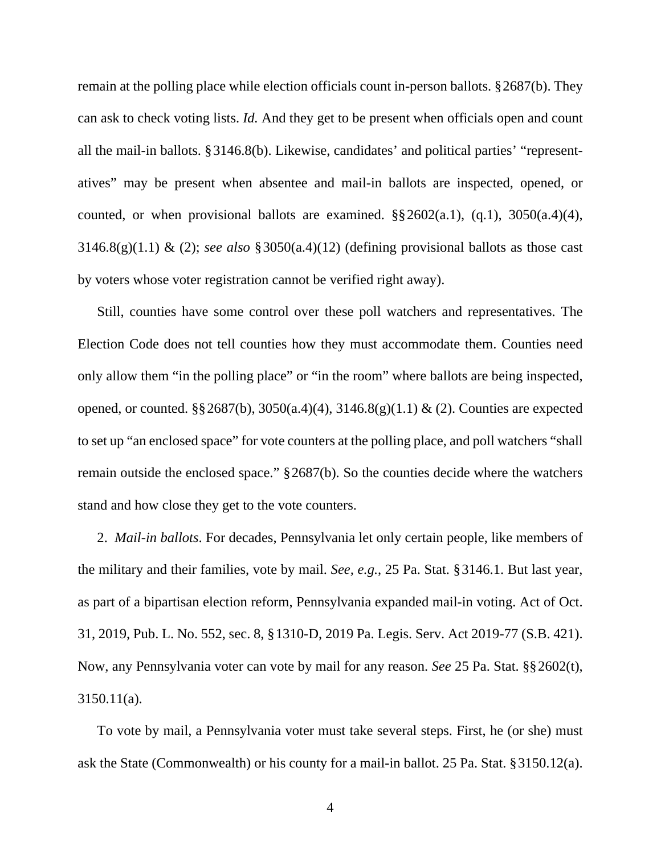remain at the polling place while election officials count in-person ballots. § 2687(b). They can ask to check voting lists. *Id.* And they get to be present when officials open and count all the mail-in ballots. § 3146.8(b). Likewise, candidates' and political parties' "representatives" may be present when absentee and mail-in ballots are inspected, opened, or counted, or when provisional ballots are examined.  $\S$ § 2602(a.1), (q.1), 3050(a.4)(4), 3146.8(g)(1.1) & (2); *see also* § 3050(a.4)(12) (defining provisional ballots as those cast by voters whose voter registration cannot be verified right away).

Still, counties have some control over these poll watchers and representatives. The Election Code does not tell counties how they must accommodate them. Counties need only allow them "in the polling place" or "in the room" where ballots are being inspected, opened, or counted. §§ 2687(b), 3050(a.4)(4), 3146.8(g)(1.1) & (2). Counties are expected to set up "an enclosed space" for vote counters at the polling place, and poll watchers "shall remain outside the enclosed space." § 2687(b). So the counties decide where the watchers stand and how close they get to the vote counters.

2. *Mail-in ballots*. For decades, Pennsylvania let only certain people, like members of the military and their families, vote by mail. *See, e.g.*, 25 Pa. Stat. § 3146.1. But last year, as part of a bipartisan election reform, Pennsylvania expanded mail-in voting. Act of Oct. 31, 2019, Pub. L. No. 552, sec. 8, § 1310-D, 2019 Pa. Legis. Serv. Act 2019-77 (S.B. 421). Now, any Pennsylvania voter can vote by mail for any reason. *See* 25 Pa. Stat. §§ 2602(t), 3150.11(a).

To vote by mail, a Pennsylvania voter must take several steps. First, he (or she) must ask the State (Commonwealth) or his county for a mail-in ballot. 25 Pa. Stat. § 3150.12(a).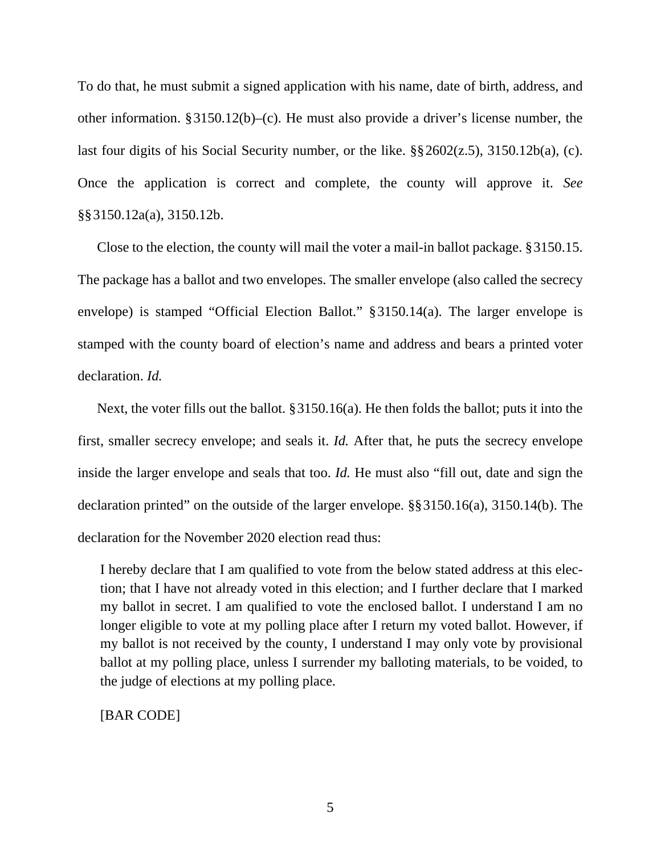To do that, he must submit a signed application with his name, date of birth, address, and other information. § 3150.12(b)–(c). He must also provide a driver's license number, the last four digits of his Social Security number, or the like. §§ 2602(z.5), 3150.12b(a), (c). Once the application is correct and complete, the county will approve it. *See*  §§ 3150.12a(a), 3150.12b.

Close to the election, the county will mail the voter a mail-in ballot package. § 3150.15. The package has a ballot and two envelopes. The smaller envelope (also called the secrecy envelope) is stamped "Official Election Ballot." § 3150.14(a). The larger envelope is stamped with the county board of election's name and address and bears a printed voter declaration. *Id.*

Next, the voter fills out the ballot. § 3150.16(a). He then folds the ballot; puts it into the first, smaller secrecy envelope; and seals it. *Id.* After that, he puts the secrecy envelope inside the larger envelope and seals that too. *Id.* He must also "fill out, date and sign the declaration printed" on the outside of the larger envelope. §§ 3150.16(a), 3150.14(b). The declaration for the November 2020 election read thus:

I hereby declare that I am qualified to vote from the below stated address at this election; that I have not already voted in this election; and I further declare that I marked my ballot in secret. I am qualified to vote the enclosed ballot. I understand I am no longer eligible to vote at my polling place after I return my voted ballot. However, if my ballot is not received by the county, I understand I may only vote by provisional ballot at my polling place, unless I surrender my balloting materials, to be voided, to the judge of elections at my polling place.

[BAR CODE]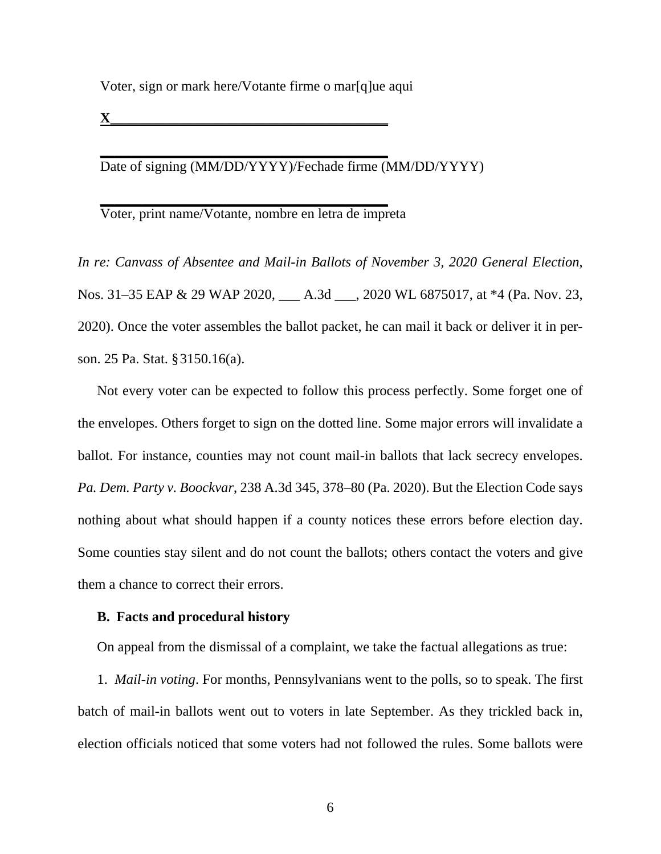Voter, sign or mark here/Votante firme o mar[q]ue aqui

**X\_\_\_\_\_\_\_\_\_\_\_\_\_\_\_\_\_\_\_\_\_\_\_\_\_\_\_\_\_\_\_\_\_\_\_\_\_\_\_** 

Date of signing (MM/DD/YYYY)/Fechade firme (MM/DD/YYYY)

Voter, print name/Votante, nombre en letra de impreta

**\_\_\_\_\_\_\_\_\_\_\_\_\_\_\_\_\_\_\_\_\_\_\_\_\_\_\_\_\_\_\_\_\_\_\_\_\_\_\_\_\_** 

**\_\_\_\_\_\_\_\_\_\_\_\_\_\_\_\_\_\_\_\_\_\_\_\_\_\_\_\_\_\_\_\_\_\_\_\_\_\_\_\_\_** 

*In re: Canvass of Absentee and Mail-in Ballots of November 3, 2020 General Election*, Nos. 31–35 EAP & 29 WAP 2020, \_\_\_ A.3d \_\_\_, 2020 WL 6875017, at \*4 (Pa. Nov. 23, 2020). Once the voter assembles the ballot packet, he can mail it back or deliver it in person. 25 Pa. Stat. § 3150.16(a).

Not every voter can be expected to follow this process perfectly. Some forget one of the envelopes. Others forget to sign on the dotted line. Some major errors will invalidate a ballot. For instance, counties may not count mail-in ballots that lack secrecy envelopes. *Pa. Dem. Party v. Boockvar*, 238 A.3d 345, 378–80 (Pa. 2020). But the Election Code says nothing about what should happen if a county notices these errors before election day. Some counties stay silent and do not count the ballots; others contact the voters and give them a chance to correct their errors.

### **B. Facts and procedural history**

On appeal from the dismissal of a complaint, we take the factual allegations as true:

1. *Mail-in voting*. For months, Pennsylvanians went to the polls, so to speak. The first batch of mail-in ballots went out to voters in late September. As they trickled back in, election officials noticed that some voters had not followed the rules. Some ballots were

6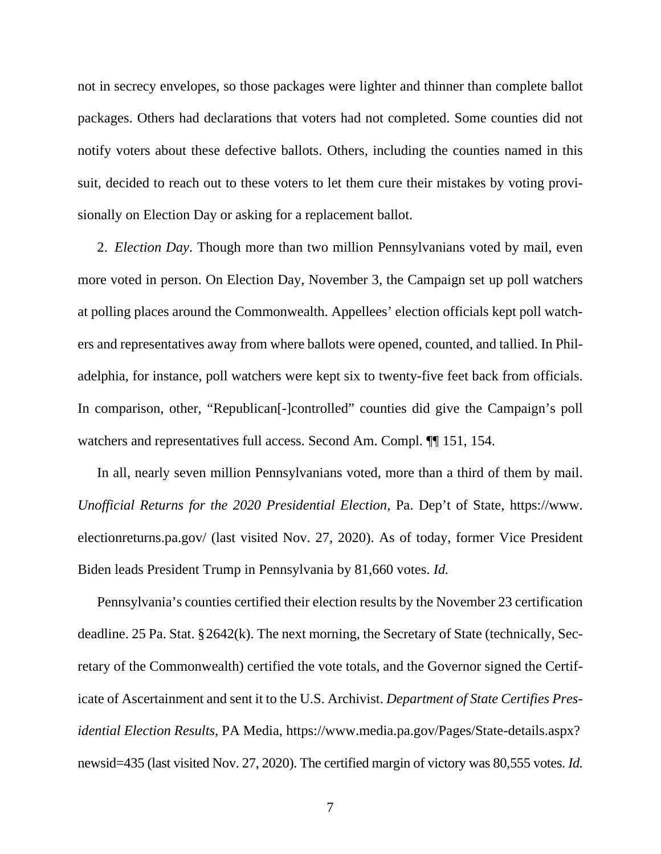not in secrecy envelopes, so those packages were lighter and thinner than complete ballot packages. Others had declarations that voters had not completed. Some counties did not notify voters about these defective ballots. Others, including the counties named in this suit, decided to reach out to these voters to let them cure their mistakes by voting provisionally on Election Day or asking for a replacement ballot.

2. *Election Day*. Though more than two million Pennsylvanians voted by mail, even more voted in person. On Election Day, November 3, the Campaign set up poll watchers at polling places around the Commonwealth. Appellees' election officials kept poll watchers and representatives away from where ballots were opened, counted, and tallied. In Philadelphia, for instance, poll watchers were kept six to twenty-five feet back from officials. In comparison, other, "Republican[-]controlled" counties did give the Campaign's poll watchers and representatives full access. Second Am. Compl. ¶¶ 151, 154.

In all, nearly seven million Pennsylvanians voted, more than a third of them by mail. *Unofficial Returns for the 2020 Presidential Election*, Pa. Dep't of State, https://www. electionreturns.pa.gov/ (last visited Nov. 27, 2020). As of today, former Vice President Biden leads President Trump in Pennsylvania by 81,660 votes. *Id.*

Pennsylvania's counties certified their election results by the November 23 certification deadline. 25 Pa. Stat. § 2642(k). The next morning, the Secretary of State (technically, Secretary of the Commonwealth) certified the vote totals, and the Governor signed the Certificate of Ascertainment and sent it to the U.S. Archivist. *Department of State Certifies Presidential Election Results*, PA Media, https://www.media.pa.gov/Pages/State-details.aspx? newsid=435 (last visited Nov. 27, 2020). The certified margin of victory was 80,555 votes. *Id.*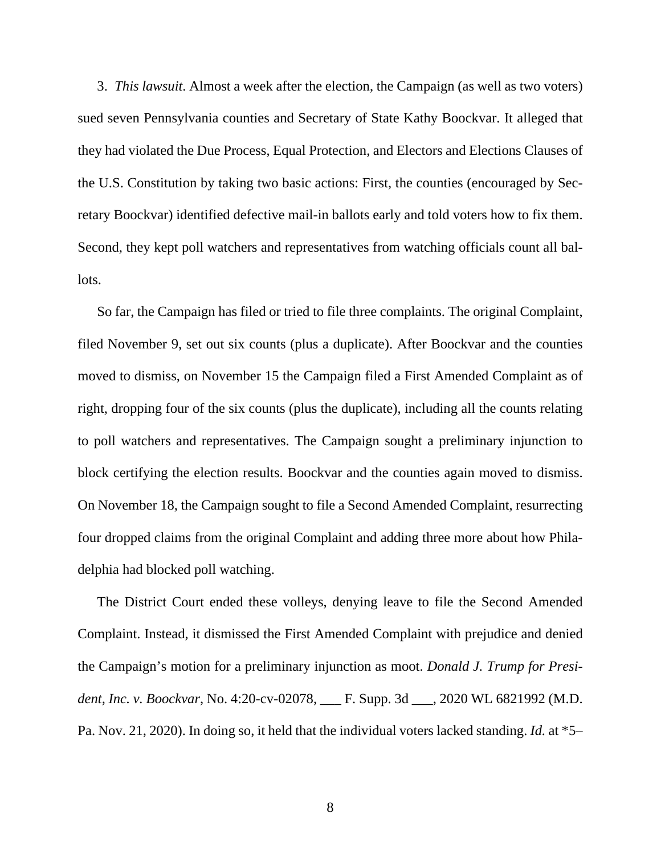3. *This lawsuit*. Almost a week after the election, the Campaign (as well as two voters) sued seven Pennsylvania counties and Secretary of State Kathy Boockvar. It alleged that they had violated the Due Process, Equal Protection, and Electors and Elections Clauses of the U.S. Constitution by taking two basic actions: First, the counties (encouraged by Secretary Boockvar) identified defective mail-in ballots early and told voters how to fix them. Second, they kept poll watchers and representatives from watching officials count all ballots.

So far, the Campaign has filed or tried to file three complaints. The original Complaint, filed November 9, set out six counts (plus a duplicate). After Boockvar and the counties moved to dismiss, on November 15 the Campaign filed a First Amended Complaint as of right, dropping four of the six counts (plus the duplicate), including all the counts relating to poll watchers and representatives. The Campaign sought a preliminary injunction to block certifying the election results. Boockvar and the counties again moved to dismiss. On November 18, the Campaign sought to file a Second Amended Complaint, resurrecting four dropped claims from the original Complaint and adding three more about how Philadelphia had blocked poll watching.

The District Court ended these volleys, denying leave to file the Second Amended Complaint. Instead, it dismissed the First Amended Complaint with prejudice and denied the Campaign's motion for a preliminary injunction as moot. *Donald J. Trump for President, Inc. v. Boockvar*, No. 4:20-cv-02078, \_\_\_ F. Supp. 3d \_\_\_, 2020 WL 6821992 (M.D. Pa. Nov. 21, 2020). In doing so, it held that the individual voters lacked standing. *Id.* at \*5–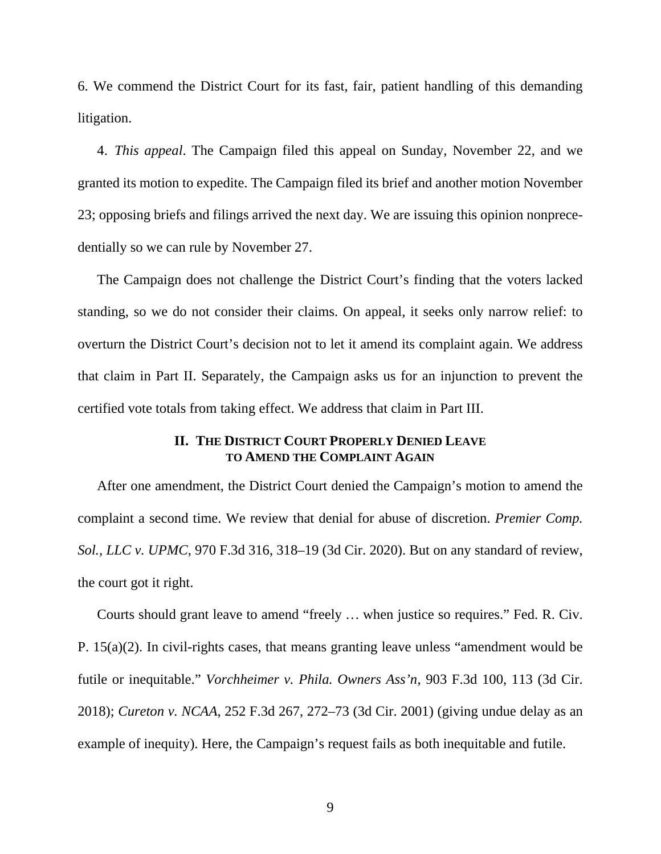6. We commend the District Court for its fast, fair, patient handling of this demanding litigation.

4. *This appeal*. The Campaign filed this appeal on Sunday, November 22, and we granted its motion to expedite. The Campaign filed its brief and another motion November 23; opposing briefs and filings arrived the next day. We are issuing this opinion nonprecedentially so we can rule by November 27.

The Campaign does not challenge the District Court's finding that the voters lacked standing, so we do not consider their claims. On appeal, it seeks only narrow relief: to overturn the District Court's decision not to let it amend its complaint again. We address that claim in Part II. Separately, the Campaign asks us for an injunction to prevent the certified vote totals from taking effect. We address that claim in Part III.

# **II. THE DISTRICT COURT PROPERLY DENIED LEAVE TO AMEND THE COMPLAINT AGAIN**

After one amendment, the District Court denied the Campaign's motion to amend the complaint a second time. We review that denial for abuse of discretion. *Premier Comp. Sol., LLC v. UPMC*, 970 F.3d 316, 318–19 (3d Cir. 2020). But on any standard of review, the court got it right.

Courts should grant leave to amend "freely ... when justice so requires." Fed. R. Civ. P. 15(a)(2). In civil-rights cases, that means granting leave unless "amendment would be futile or inequitable." *Vorchheimer v. Phila. Owners Ass'n*, 903 F.3d 100, 113 (3d Cir. 2018); *Cureton v. NCAA*, 252 F.3d 267, 272–73 (3d Cir. 2001) (giving undue delay as an example of inequity). Here, the Campaign's request fails as both inequitable and futile.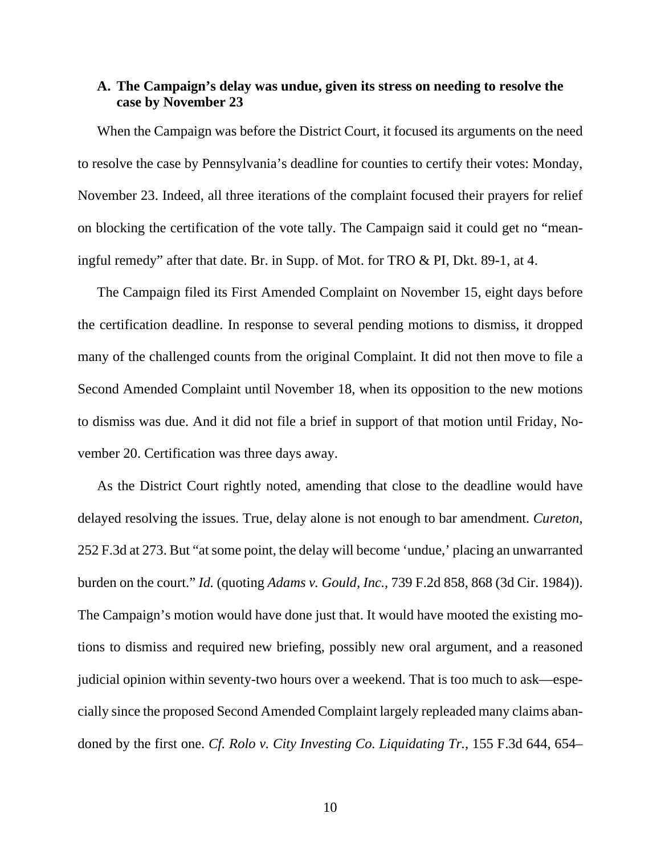# **A. The Campaign's delay was undue, given its stress on needing to resolve the case by November 23**

When the Campaign was before the District Court, it focused its arguments on the need to resolve the case by Pennsylvania's deadline for counties to certify their votes: Monday, November 23. Indeed, all three iterations of the complaint focused their prayers for relief on blocking the certification of the vote tally. The Campaign said it could get no "meaningful remedy" after that date. Br. in Supp. of Mot. for TRO & PI, Dkt. 89-1, at 4.

The Campaign filed its First Amended Complaint on November 15, eight days before the certification deadline. In response to several pending motions to dismiss, it dropped many of the challenged counts from the original Complaint. It did not then move to file a Second Amended Complaint until November 18, when its opposition to the new motions to dismiss was due. And it did not file a brief in support of that motion until Friday, November 20. Certification was three days away.

As the District Court rightly noted, amending that close to the deadline would have delayed resolving the issues. True, delay alone is not enough to bar amendment. *Cureton*, 252 F.3d at 273. But "at some point, the delay will become 'undue,' placing an unwarranted burden on the court." *Id.* (quoting *Adams v. Gould, Inc.*, 739 F.2d 858, 868 (3d Cir. 1984)). The Campaign's motion would have done just that. It would have mooted the existing motions to dismiss and required new briefing, possibly new oral argument, and a reasoned judicial opinion within seventy-two hours over a weekend. That is too much to ask—especially since the proposed Second Amended Complaint largely repleaded many claims abandoned by the first one. *Cf. Rolo v. City Investing Co. Liquidating Tr.*, 155 F.3d 644, 654–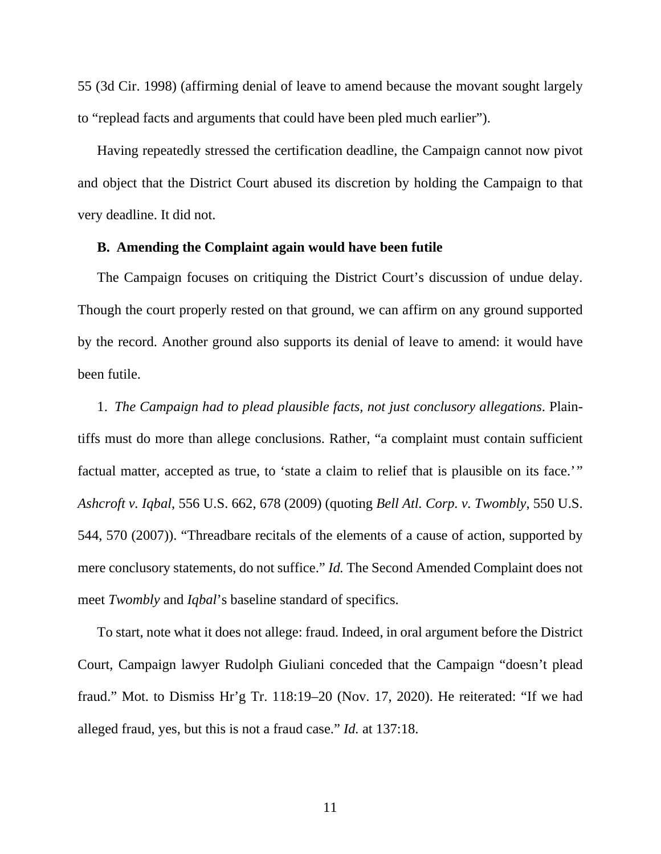55 (3d Cir. 1998) (affirming denial of leave to amend because the movant sought largely to "replead facts and arguments that could have been pled much earlier").

Having repeatedly stressed the certification deadline, the Campaign cannot now pivot and object that the District Court abused its discretion by holding the Campaign to that very deadline. It did not.

## **B. Amending the Complaint again would have been futile**

The Campaign focuses on critiquing the District Court's discussion of undue delay. Though the court properly rested on that ground, we can affirm on any ground supported by the record. Another ground also supports its denial of leave to amend: it would have been futile.

1. *The Campaign had to plead plausible facts, not just conclusory allegations*. Plaintiffs must do more than allege conclusions. Rather, "a complaint must contain sufficient factual matter, accepted as true, to 'state a claim to relief that is plausible on its face.'" *Ashcroft v. Iqbal*, 556 U.S. 662, 678 (2009) (quoting *Bell Atl. Corp. v. Twombly*, 550 U.S. 544, 570 (2007)). "Threadbare recitals of the elements of a cause of action, supported by mere conclusory statements, do not suffice." *Id.* The Second Amended Complaint does not meet *Twombly* and *Iqbal*'s baseline standard of specifics.

To start, note what it does not allege: fraud. Indeed, in oral argument before the District Court, Campaign lawyer Rudolph Giuliani conceded that the Campaign "doesn't plead fraud." Mot. to Dismiss Hr'g Tr. 118:19–20 (Nov. 17, 2020). He reiterated: "If we had alleged fraud, yes, but this is not a fraud case." *Id.* at 137:18.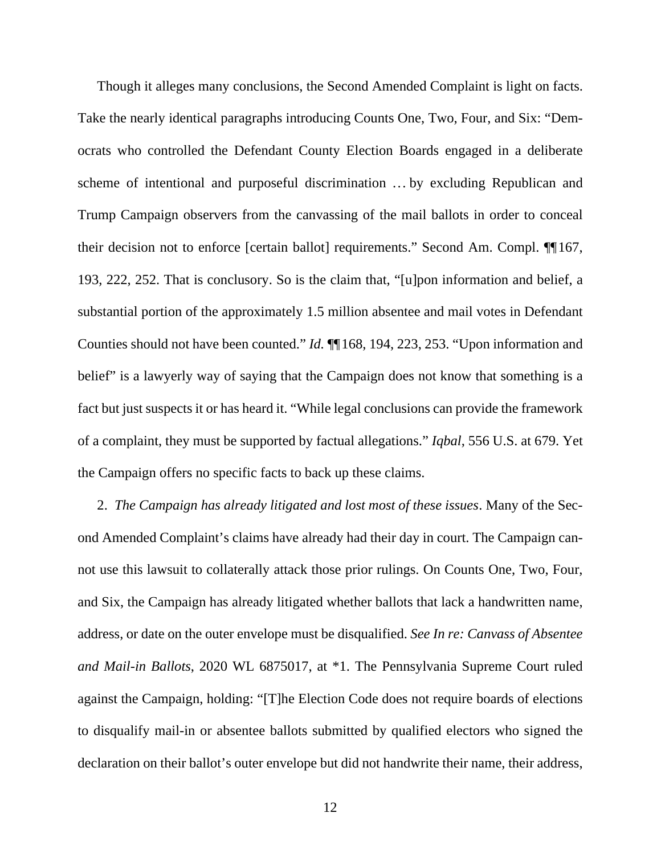Though it alleges many conclusions, the Second Amended Complaint is light on facts. Take the nearly identical paragraphs introducing Counts One, Two, Four, and Six: "Democrats who controlled the Defendant County Election Boards engaged in a deliberate scheme of intentional and purposeful discrimination ... by excluding Republican and Trump Campaign observers from the canvassing of the mail ballots in order to conceal their decision not to enforce [certain ballot] requirements." Second Am. Compl. ¶¶ 167, 193, 222, 252. That is conclusory. So is the claim that, "[u]pon information and belief, a substantial portion of the approximately 1.5 million absentee and mail votes in Defendant Counties should not have been counted." *Id.* ¶¶ 168, 194, 223, 253. "Upon information and belief" is a lawyerly way of saying that the Campaign does not know that something is a fact but just suspects it or has heard it. "While legal conclusions can provide the framework of a complaint, they must be supported by factual allegations." *Iqbal*, 556 U.S. at 679. Yet the Campaign offers no specific facts to back up these claims.

2. *The Campaign has already litigated and lost most of these issues*. Many of the Second Amended Complaint's claims have already had their day in court. The Campaign cannot use this lawsuit to collaterally attack those prior rulings. On Counts One, Two, Four, and Six, the Campaign has already litigated whether ballots that lack a handwritten name, address, or date on the outer envelope must be disqualified. *See In re: Canvass of Absentee and Mail-in Ballots*, 2020 WL 6875017, at \*1. The Pennsylvania Supreme Court ruled against the Campaign, holding: "[T]he Election Code does not require boards of elections to disqualify mail-in or absentee ballots submitted by qualified electors who signed the declaration on their ballot's outer envelope but did not handwrite their name, their address,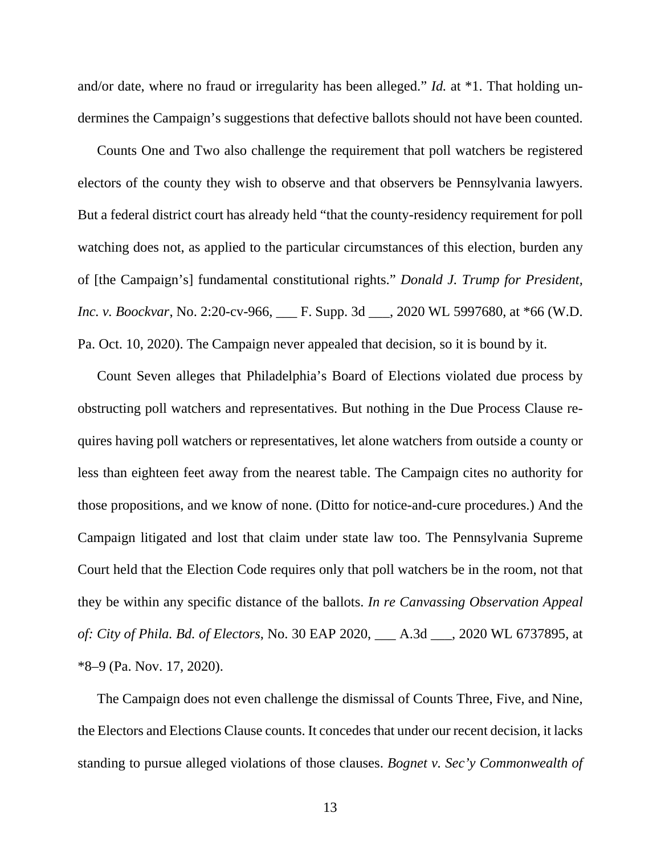and/or date, where no fraud or irregularity has been alleged." *Id.* at \*1. That holding undermines the Campaign's suggestions that defective ballots should not have been counted.

Counts One and Two also challenge the requirement that poll watchers be registered electors of the county they wish to observe and that observers be Pennsylvania lawyers. But a federal district court has already held "that the county-residency requirement for poll watching does not, as applied to the particular circumstances of this election, burden any of [the Campaign's] fundamental constitutional rights." *Donald J. Trump for President, Inc. v. Boockvar*, No. 2:20-cv-966, \_\_\_ F. Supp. 3d \_\_\_, 2020 WL 5997680, at \*66 (W.D. Pa. Oct. 10, 2020). The Campaign never appealed that decision, so it is bound by it.

Count Seven alleges that Philadelphia's Board of Elections violated due process by obstructing poll watchers and representatives. But nothing in the Due Process Clause requires having poll watchers or representatives, let alone watchers from outside a county or less than eighteen feet away from the nearest table. The Campaign cites no authority for those propositions, and we know of none. (Ditto for notice-and-cure procedures.) And the Campaign litigated and lost that claim under state law too. The Pennsylvania Supreme Court held that the Election Code requires only that poll watchers be in the room, not that they be within any specific distance of the ballots. *In re Canvassing Observation Appeal of: City of Phila. Bd. of Electors*, No. 30 EAP 2020, \_\_\_ A.3d \_\_\_, 2020 WL 6737895, at \*8–9 (Pa. Nov. 17, 2020).

The Campaign does not even challenge the dismissal of Counts Three, Five, and Nine, the Electors and Elections Clause counts. It concedes that under our recent decision, it lacks standing to pursue alleged violations of those clauses. *Bognet v. Sec'y Commonwealth of*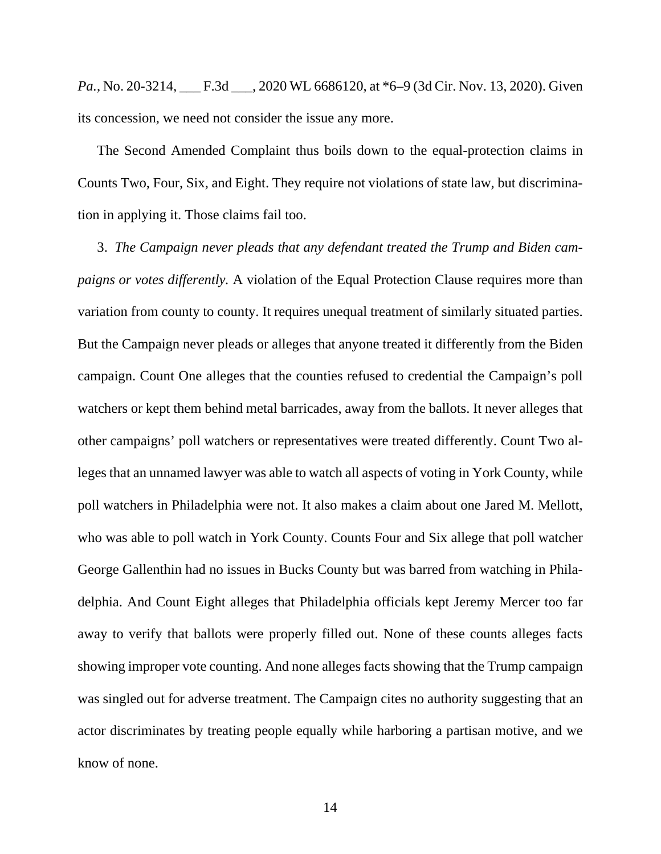*Pa.*, No. 20-3214, <u>F.3d 3.2020</u> WL 6686120, at \*6–9 (3d Cir. Nov. 13, 2020). Given its concession, we need not consider the issue any more.

The Second Amended Complaint thus boils down to the equal-protection claims in Counts Two, Four, Six, and Eight. They require not violations of state law, but discrimination in applying it. Those claims fail too.

3. *The Campaign never pleads that any defendant treated the Trump and Biden campaigns or votes differently.* A violation of the Equal Protection Clause requires more than variation from county to county. It requires unequal treatment of similarly situated parties. But the Campaign never pleads or alleges that anyone treated it differently from the Biden campaign. Count One alleges that the counties refused to credential the Campaign's poll watchers or kept them behind metal barricades, away from the ballots. It never alleges that other campaigns' poll watchers or representatives were treated differently. Count Two alleges that an unnamed lawyer was able to watch all aspects of voting in York County, while poll watchers in Philadelphia were not. It also makes a claim about one Jared M. Mellott, who was able to poll watch in York County. Counts Four and Six allege that poll watcher George Gallenthin had no issues in Bucks County but was barred from watching in Philadelphia. And Count Eight alleges that Philadelphia officials kept Jeremy Mercer too far away to verify that ballots were properly filled out. None of these counts alleges facts showing improper vote counting. And none alleges facts showing that the Trump campaign was singled out for adverse treatment. The Campaign cites no authority suggesting that an actor discriminates by treating people equally while harboring a partisan motive, and we know of none.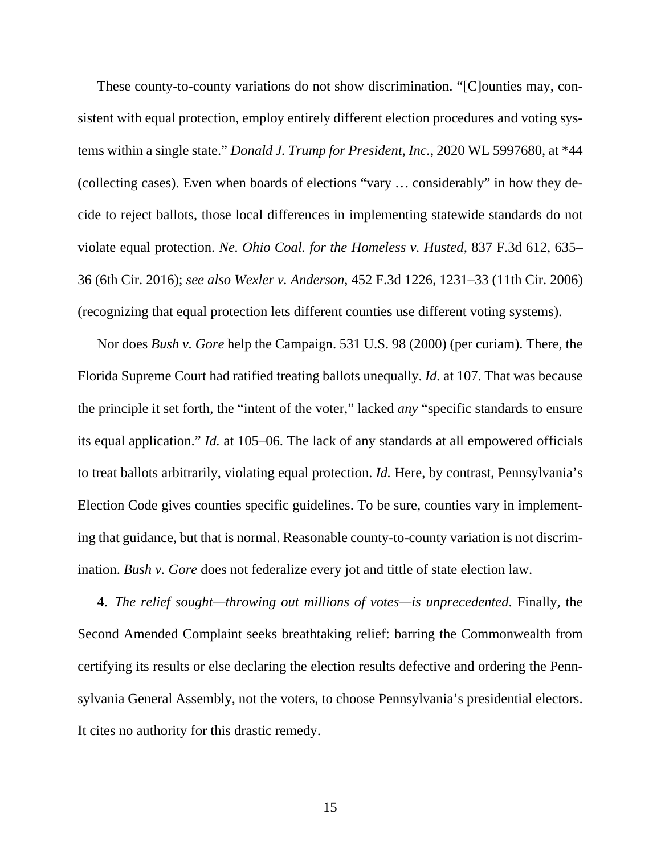These county-to-county variations do not show discrimination. "[C]ounties may, consistent with equal protection, employ entirely different election procedures and voting systems within a single state." *Donald J. Trump for President, Inc.*, 2020 WL 5997680, at \*44 (collecting cases). Even when boards of elections "vary . . . considerably" in how they decide to reject ballots, those local differences in implementing statewide standards do not violate equal protection. *Ne. Ohio Coal. for the Homeless v. Husted*, 837 F.3d 612, 635– 36 (6th Cir. 2016); *see also Wexler v. Anderson*, 452 F.3d 1226, 1231–33 (11th Cir. 2006) (recognizing that equal protection lets different counties use different voting systems).

Nor does *Bush v. Gore* help the Campaign. 531 U.S. 98 (2000) (per curiam). There, the Florida Supreme Court had ratified treating ballots unequally. *Id.* at 107. That was because the principle it set forth, the "intent of the voter," lacked *any* "specific standards to ensure its equal application." *Id.* at 105–06. The lack of any standards at all empowered officials to treat ballots arbitrarily, violating equal protection. *Id.* Here, by contrast, Pennsylvania's Election Code gives counties specific guidelines. To be sure, counties vary in implementing that guidance, but that is normal. Reasonable county-to-county variation is not discrimination. *Bush v. Gore* does not federalize every jot and tittle of state election law.

4. *The relief sought—throwing out millions of votes—is unprecedented*. Finally, the Second Amended Complaint seeks breathtaking relief: barring the Commonwealth from certifying its results or else declaring the election results defective and ordering the Pennsylvania General Assembly, not the voters, to choose Pennsylvania's presidential electors. It cites no authority for this drastic remedy.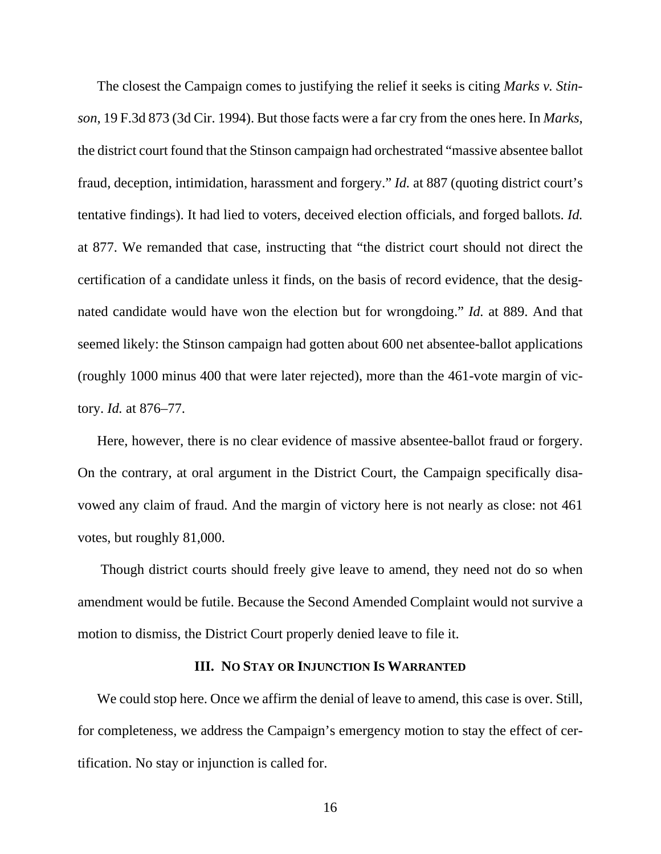The closest the Campaign comes to justifying the relief it seeks is citing *Marks v. Stinson*, 19 F.3d 873 (3d Cir. 1994). But those facts were a far cry from the ones here. In *Marks*, the district court found that the Stinson campaign had orchestrated "massive absentee ballot fraud, deception, intimidation, harassment and forgery." *Id.* at 887 (quoting district court's tentative findings). It had lied to voters, deceived election officials, and forged ballots. *Id.* at 877. We remanded that case, instructing that "the district court should not direct the certification of a candidate unless it finds, on the basis of record evidence, that the designated candidate would have won the election but for wrongdoing." *Id.* at 889. And that seemed likely: the Stinson campaign had gotten about 600 net absentee-ballot applications (roughly 1000 minus 400 that were later rejected), more than the 461-vote margin of victory. *Id.* at 876–77.

Here, however, there is no clear evidence of massive absentee-ballot fraud or forgery. On the contrary, at oral argument in the District Court, the Campaign specifically disavowed any claim of fraud. And the margin of victory here is not nearly as close: not 461 votes, but roughly 81,000.

 Though district courts should freely give leave to amend, they need not do so when amendment would be futile. Because the Second Amended Complaint would not survive a motion to dismiss, the District Court properly denied leave to file it.

### **III. NO STAY OR INJUNCTION IS WARRANTED**

We could stop here. Once we affirm the denial of leave to amend, this case is over. Still, for completeness, we address the Campaign's emergency motion to stay the effect of certification. No stay or injunction is called for.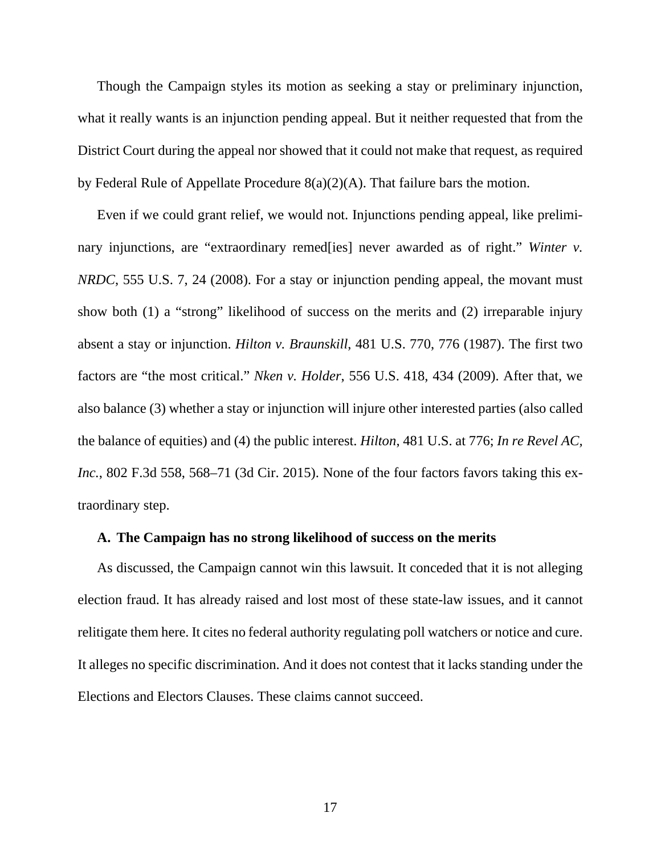Though the Campaign styles its motion as seeking a stay or preliminary injunction, what it really wants is an injunction pending appeal. But it neither requested that from the District Court during the appeal nor showed that it could not make that request, as required by Federal Rule of Appellate Procedure 8(a)(2)(A). That failure bars the motion.

Even if we could grant relief, we would not. Injunctions pending appeal, like preliminary injunctions, are "extraordinary remed<sup>[ies]</sup> never awarded as of right." *Winter v. NRDC*, 555 U.S. 7, 24 (2008). For a stay or injunction pending appeal, the movant must show both (1) a "strong" likelihood of success on the merits and (2) irreparable injury absent a stay or injunction. *Hilton v. Braunskill*, 481 U.S. 770, 776 (1987). The first two factors are "the most critical." *Nken v. Holder*, 556 U.S. 418, 434 (2009). After that, we also balance (3) whether a stay or injunction will injure other interested parties (also called the balance of equities) and (4) the public interest. *Hilton*, 481 U.S. at 776; *In re Revel AC, Inc.*, 802 F.3d 558, 568–71 (3d Cir. 2015). None of the four factors favors taking this extraordinary step.

#### **A. The Campaign has no strong likelihood of success on the merits**

As discussed, the Campaign cannot win this lawsuit. It conceded that it is not alleging election fraud. It has already raised and lost most of these state-law issues, and it cannot relitigate them here. It cites no federal authority regulating poll watchers or notice and cure. It alleges no specific discrimination. And it does not contest that it lacks standing under the Elections and Electors Clauses. These claims cannot succeed.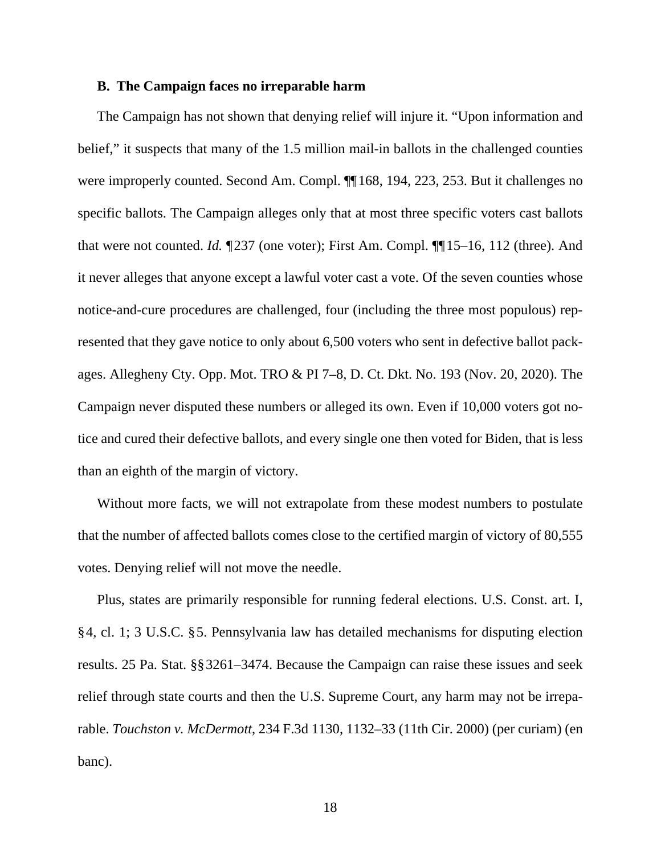### **B. The Campaign faces no irreparable harm**

The Campaign has not shown that denying relief will injure it. "Upon information and belief," it suspects that many of the 1.5 million mail-in ballots in the challenged counties were improperly counted. Second Am. Compl. ¶¶ 168, 194, 223, 253. But it challenges no specific ballots. The Campaign alleges only that at most three specific voters cast ballots that were not counted. *Id.*  $\P$ 237 (one voter); First Am. Compl.  $\P$ <sup>15–16, 112 (three). And</sup> it never alleges that anyone except a lawful voter cast a vote. Of the seven counties whose notice-and-cure procedures are challenged, four (including the three most populous) represented that they gave notice to only about 6,500 voters who sent in defective ballot packages. Allegheny Cty. Opp. Mot. TRO & PI 7–8, D. Ct. Dkt. No. 193 (Nov. 20, 2020). The Campaign never disputed these numbers or alleged its own. Even if 10,000 voters got notice and cured their defective ballots, and every single one then voted for Biden, that is less than an eighth of the margin of victory.

Without more facts, we will not extrapolate from these modest numbers to postulate that the number of affected ballots comes close to the certified margin of victory of 80,555 votes. Denying relief will not move the needle.

Plus, states are primarily responsible for running federal elections. U.S. Const. art. I, § 4, cl. 1; 3 U.S.C. § 5. Pennsylvania law has detailed mechanisms for disputing election results. 25 Pa. Stat. §§ 3261–3474. Because the Campaign can raise these issues and seek relief through state courts and then the U.S. Supreme Court, any harm may not be irreparable. *Touchston v. McDermott*, 234 F.3d 1130, 1132–33 (11th Cir. 2000) (per curiam) (en banc).

18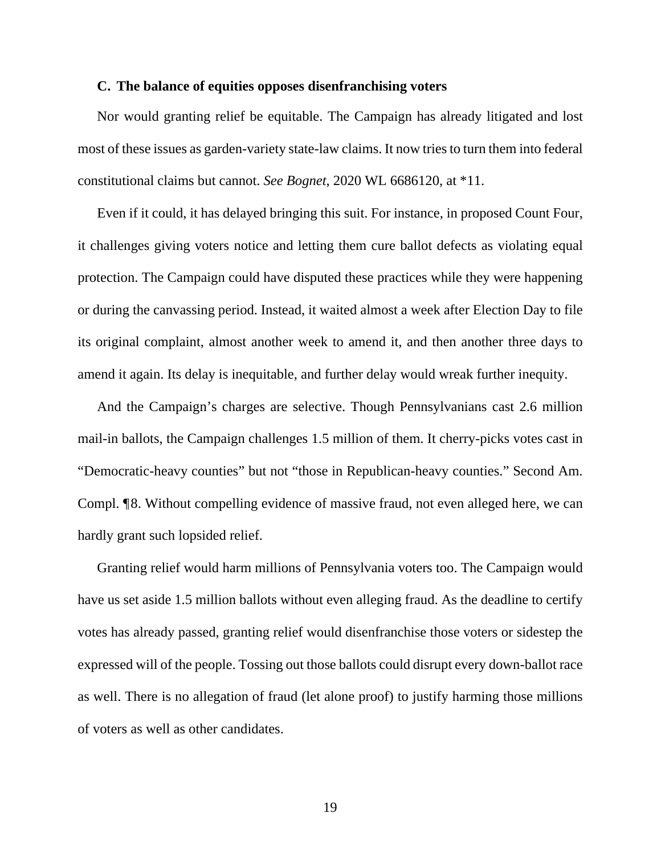#### **C. The balance of equities opposes disenfranchising voters**

Nor would granting relief be equitable. The Campaign has already litigated and lost most of these issues as garden-variety state-law claims. It now tries to turn them into federal constitutional claims but cannot. *See Bognet*, 2020 WL 6686120, at \*11.

Even if it could, it has delayed bringing this suit. For instance, in proposed Count Four, it challenges giving voters notice and letting them cure ballot defects as violating equal protection. The Campaign could have disputed these practices while they were happening or during the canvassing period. Instead, it waited almost a week after Election Day to file its original complaint, almost another week to amend it, and then another three days to amend it again. Its delay is inequitable, and further delay would wreak further inequity.

And the Campaign's charges are selective. Though Pennsylvanians cast 2.6 million mail-in ballots, the Campaign challenges 1.5 million of them. It cherry-picks votes cast in "Democratic-heavy counties" but not "those in Republican-heavy counties." Second Am. Compl. ¶8. Without compelling evidence of massive fraud, not even alleged here, we can hardly grant such lopsided relief.

Granting relief would harm millions of Pennsylvania voters too. The Campaign would have us set aside 1.5 million ballots without even alleging fraud. As the deadline to certify votes has already passed, granting relief would disenfranchise those voters or sidestep the expressed will of the people. Tossing out those ballots could disrupt every down-ballot race as well. There is no allegation of fraud (let alone proof) to justify harming those millions of voters as well as other candidates.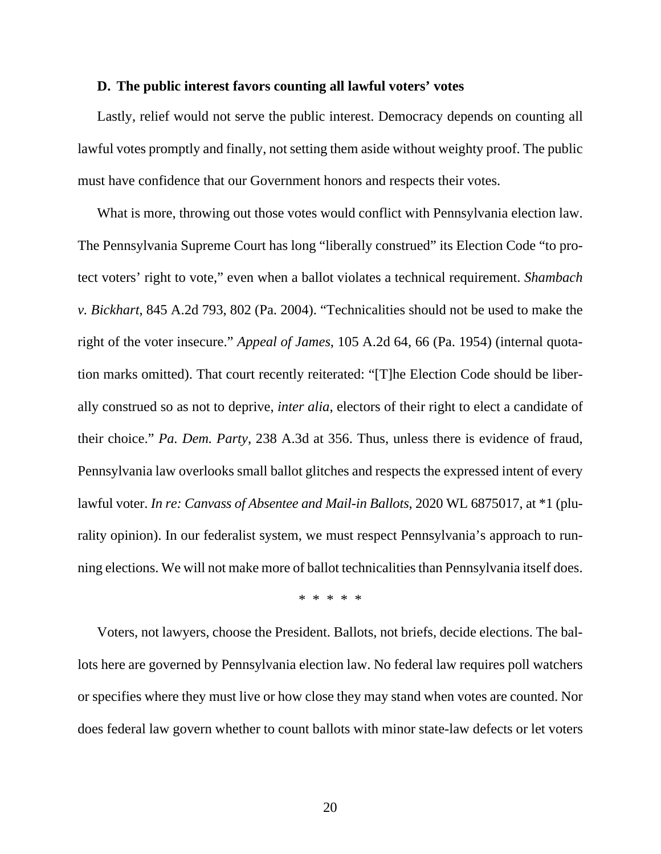#### **D. The public interest favors counting all lawful voters' votes**

Lastly, relief would not serve the public interest. Democracy depends on counting all lawful votes promptly and finally, not setting them aside without weighty proof. The public must have confidence that our Government honors and respects their votes.

What is more, throwing out those votes would conflict with Pennsylvania election law. The Pennsylvania Supreme Court has long "liberally construed" its Election Code "to protect voters' right to vote," even when a ballot violates a technical requirement. *Shambach v. Bickhart*, 845 A.2d 793, 802 (Pa. 2004). "Technicalities should not be used to make the right of the voter insecure." *Appeal of James*, 105 A.2d 64, 66 (Pa. 1954) (internal quotation marks omitted). That court recently reiterated: "[T]he Election Code should be liberally construed so as not to deprive, *inter alia*, electors of their right to elect a candidate of their choice." *Pa. Dem. Party*, 238 A.3d at 356. Thus, unless there is evidence of fraud, Pennsylvania law overlooks small ballot glitches and respects the expressed intent of every lawful voter. *In re: Canvass of Absentee and Mail-in Ballots*, 2020 WL 6875017, at \*1 (plurality opinion). In our federalist system, we must respect Pennsylvania's approach to running elections. We will not make more of ballot technicalities than Pennsylvania itself does.

\* \* \* \* \*

Voters, not lawyers, choose the President. Ballots, not briefs, decide elections. The ballots here are governed by Pennsylvania election law. No federal law requires poll watchers or specifies where they must live or how close they may stand when votes are counted. Nor does federal law govern whether to count ballots with minor state-law defects or let voters